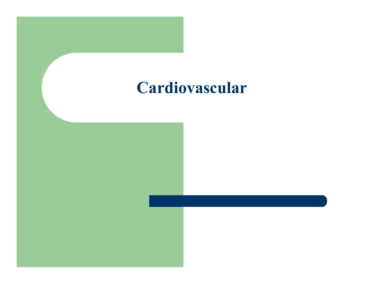#### Cardiovascular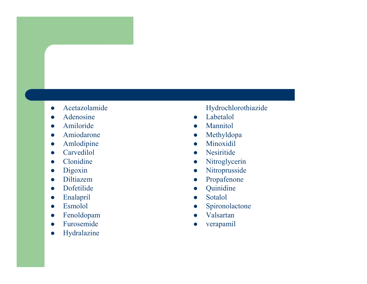- $\bullet$ Acetazolamide
- $\bullet$ Adenosine
- $\bullet$ Amiloride
- $\bullet$ Amiodarone
- $\bullet$ Amlodipine
- $\bullet$ Carvedilol
- $\bullet$ Clonidine
- $\bullet$ Digoxin
- $\bullet$ Diltiazem
- Dofetilide  $\bullet$
- $\bullet$ Enalapril
- $\bullet$ Esmolol
- $\bullet$ Fenoldopam
- Furosemide  $\bullet$
- $\bullet$ Hydralazine

#### Hydrochlorothiazide

- $\bullet$ Labetalol
- $\bullet$ Mannitol
- $\bullet$ Methyldopa
- $\bullet$ Minoxidil
- $\bullet$ Nesiritide
- $\bullet$ Nitroglycerin
- $\bullet$ Nitroprusside
- 0 Propafenone
- $\bullet$ Quinidine
- $\bullet$ Sotalol
- 0 Spironolactone
- $\bullet$ Valsartan
- $\bullet$ verapamil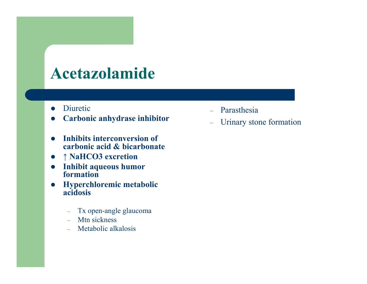#### Acetazolamide

- $\bullet$ Diuretic
- $\bullet$ Carbonic anhydrase inhibitor
- $\bullet$ Inhibits interconversion of carbonic acid & bicarbonate
- ↑ NaHCO3 excretion
- Inhibit aqueous humor formation
- Hyperchloremic metabolic acidosis
	- $\rightarrow$ Tx open-angle glaucoma
	- Mtn sickness
	- $\equiv$ Metabolic alkalosis
- 
- Parasthesia<br>
 Urinary stone formation<br> **sion of**<br> **n**<br> **nor**<br> **tabolic**<br>
ucoma<br>
s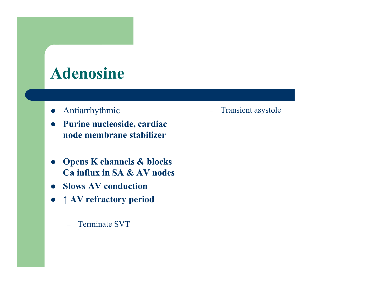#### Adenosine

- $\bullet$ Antiarrhythmic
- $\bullet$  Purine nucleoside, cardiac node membrane stabilizer
- $\bullet$  Opens K channels & blocks Ca influx in SA & AV nodes– Transient asystole<br> **de, cardiac**<br> **e stabilizer<br>
els & blocks<br>
& AV nodes<br>
uction<br>
T<br>
T**
- Slows AV conduction
- <sup>↑</sup> AV refractory period
	- $\equiv$ Terminate SVT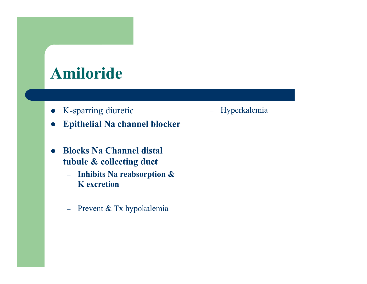### Amiloride

- $\bullet$ K-sparring diuretic
- $\bullet$ Epithelial Na channel blocker
- $\bullet$  Blocks Na Channel distal tubule & collecting duct
	- Inhibits Na reabsorption  $\&$ K excretion
	- Prevent & Tx hypokalemia
- Hyperkalemia<br> **eker**<br> **&**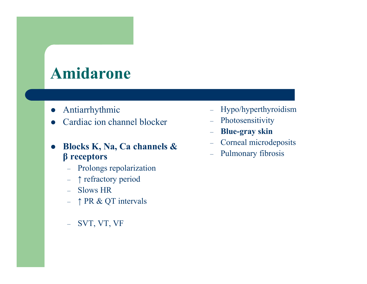#### Amidarone

- $\bullet$ Antiarrhythmic
- $\bullet$ Cardiac ion channel blocker
- $\bullet$  Blocks K, Na, Ca channels & <sup>β</sup> receptors – Hypo/hyperthyroidism<br>
annel blocker<br>
– Photosensitivity<br>
– Blue-gray skin<br>
Ca channels &<br>
– Corneal microdeposits<br>
– Pulmonary fibrosis<br>
olarization<br>
period<br>
intervals<br>
F
	- $\,$ Prolongs repolarization
	- <sup>↑</sup> refractory period
	- Slows HR
	- ↑ PR & QT intervals
	- $\equiv$ SVT, VT, VF
- 
- 
- 
- 
-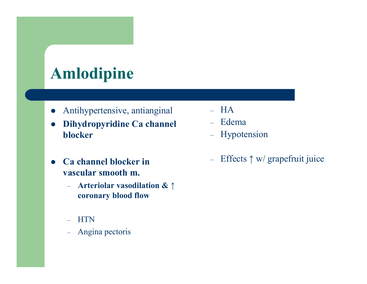## Amlodipine

- $\bullet$ Antihypertensive, antianginal
- $\bullet$  Dihydropyridine Ca channel blockerAntihypertensive, antianginal – HA<br>
Dihydropyridine Ca channel – Edema<br>
– Hypotension<br>
– Angina pectoris<br>
– Angina pectoris<br>
– HTN<br>
– Angina pectoris
- $\bullet$  Ca channel blocker in vascular smooth m.
	- $-$  Arteriolar vasodilation  $\mathbf{\&} \uparrow$ coronary blood flow
	- HTN
	- Angina pectoris –
- 
- 
- 
-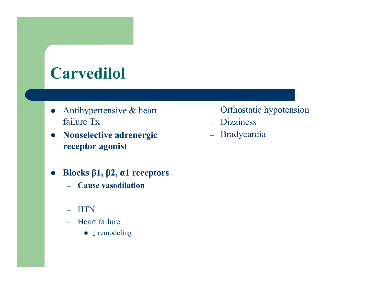## **Carvedilol**

- $\bullet$  Antihypertensive & heart failure Tx
- Nonselective adrenergic receptor agonistspertensive & heart and the Orthostatic hypotension<br>
e Tx and the Dizziness<br>
elective adrenergic and - Bradycardia<br>
tor agonist<br>
ss β1, β2, α1 receptors<br>
ause vasodilation<br>
TN<br>
eart failure<br>
• ↓ remodeling
- $\bullet$ Blocks  $β1, β2, α1$  receptors
	- $\equiv$ Cause vasodilation
	- HTN
	- Heart failure
		- $\bullet \downarrow$  remodeling
- 
- 
-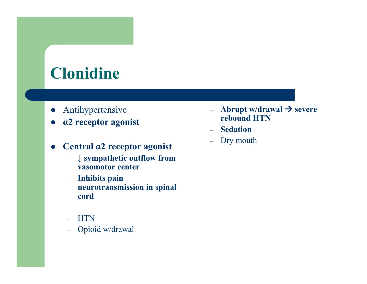## Clonidine

- $\bullet$ Antihypertensive
- $\bullet$ α2 receptor agonist
- $\bullet$  Central α2 receptor agonist
	- $\rightarrow √$  sympathetic outflow from vasomotor center
- Inhibits pain neurotransmission in spinal cordAbrupt w/drawal  $\rightarrow$ <br>
2 receptor agonist<br>
2 receptor agonist<br>
2 receptor agonist<br>  $\rightarrow$  Sedation<br>  $\rightarrow$  Sedation<br>  $\rightarrow$  Sedation<br>  $\rightarrow$  Sedation<br>  $\rightarrow$  Sedation<br>  $\rightarrow$  Dry mouth<br>
vasomotor center<br>  $\rightarrow$  Inhibits pain<br>
neurotrans
	- HTN
	- Oni
- Abrupt w/drawal  $\rightarrow$  severe rebound HTN
- Sedation
- Dry mouth –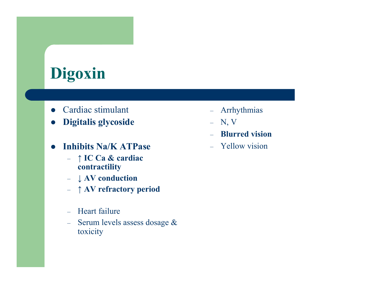# Digoxin

- Cardiac stimulant
- $\bullet$ Digitalis glycoside
- $\bullet$  Inhibits Na/K ATPase
	- $\uparrow$  IC Ca & cardiac contractility contractility
	- $\downarrow$  AV conduction
	- $\uparrow$  AV refractory period
	- Heart failure
- Serum levels assess dosage  $\&$  $\equiv$ toxicityimulant – Arrhythmias<br>
glycoside – N, V<br>
– Blurred vision<br>
Va/K ATPase – Yellow vision<br>
Ca & cardiac<br>
actility<br>
conduction<br>
refractory period<br>
failure<br>
levels assess dosage &<br>
y
- -
	-
	-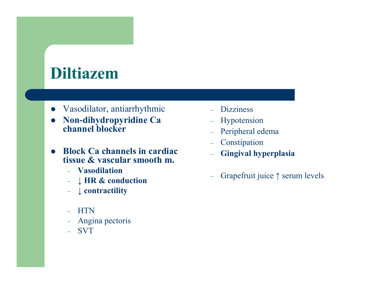## Diltiazem

- Vasodilator, antiarrhythmic
- $\bullet$  Non-dihydropyridine Ca channel blocker
- $\bullet$  Block Ca channels in cardiac tissue & vascular smooth m.Frame – Dizziness<br>
ihydropyridine Ca – Hypotension<br>
el blocker – Peripheral edema<br>
Ca channels in cardiac – Constipation<br>
& vascular smooth m.<br>
sodilation<br>
IR & conduction<br>
ontractility<br>
N<br>
N<br>
gina pectoris<br>
T
	- Vasodilation
	- $-$  l HR  $\mathcal X$  con  $\downarrow$  HR & conduction
	- $\downarrow$  contractility
	- HTN
	- Angina pectoris –
	- SVT
- 
- 
- 
- 
- 
-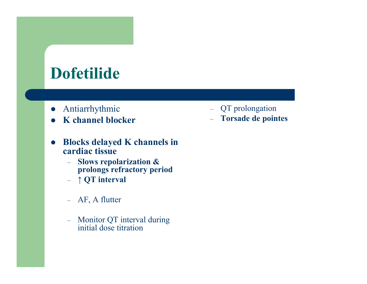## Dofetilide

- $\bullet$ Antiarrhythmic
- $\bullet$ K channel blocker
- $\bullet$  Blocks delayed K channels in cardiac tissue– QT prolongation<br>
– Torsade de pointes<br>
hannels in<br>
ion &<br>
ry period<br>
al during<br>
al during<br>
n
	- **Slows repolarization &<br>Separatory references** –prolongs refractory period
	- $\uparrow QT$  interval
	- AF, A flutter
	- Monitor QT interval during initial dose titration
- 
-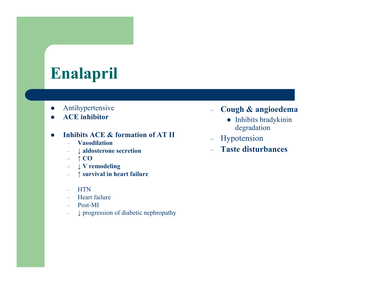## Enalapril

- $\bullet$ Antihypertensive
- $\bullet$ ACE inhibitor

#### $\bullet$ Inhibits ACE & formation of AT II

- $\equiv$ Vasodilation
- $-$  ↓ aldosterone secretion  $\equiv$
- –<sup>↑</sup> CO
- $\begin{array}{cc} & \downarrow \mathbf{V} \text{ remodeling} \ & \land \text{supervised in the} \end{array}$ –
- –<sup>↑</sup> survival in heart failure
- –**HTN**
- Heart failure  $\equiv$
- $\equiv$
- Post-MI<br> $\downarrow$  progression of diabetic nephropathy –
- 
- Arm in this perference is a cough & angioedemand CE inhibits ACE & formation of AT II<br>
 Vasodilation degradation<br>
 Vasodilation Jalosterone secretion Taste disturbances<br>
 † CO<br>
 γ Verenodeling<br>
 γ Verenodeling<br>
-
	-
	-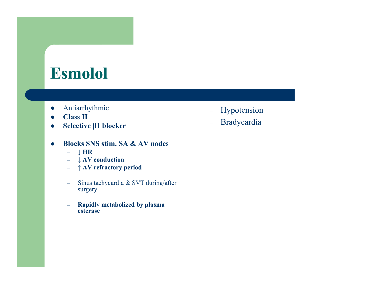#### Esmolol

- $\bullet$ Antiarrhythmic
- $\bullet$ Class II
- $\bullet$ Selective β1 blocker
- $\bullet$  Blocks SNS stim. SA & AV nodes
	- <sup>↓</sup> HR
	- <sup>↓</sup> AV conduction
	- <sup>↑</sup> AV refractory period
- $\equiv$  Sinus tachycardia & SVT during/after surgerymic – Hypotension<br>
1 blocker – Bradycardia<br>
5 stim. SA & AV nodes<br>
onduction<br>
efractory period<br>
achycardia & SVT during/after<br>
y metabolized by plasma<br>
e
	- $\equiv$  Rapidly metabolized by plasma esterase
- 
-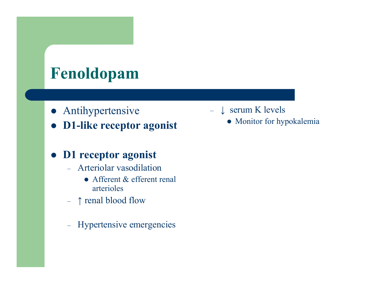## Fenoldopam

- Antihypertensive
- $\bullet$ D1-like receptor agonist

#### D1 receptor agonist

- Arteriolar vasodilation
	- Afferent & efferent renal arterioles
- $\uparrow$  renal blood flow
- –- Hypertensive emergencies
- 
- $\downarrow$  serum K levels<br>
 Monitor for hypokalemia<br>
all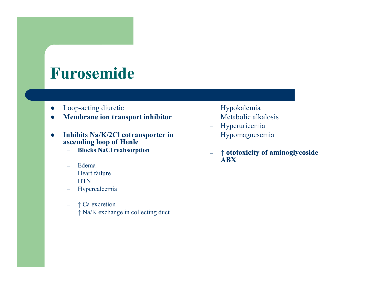#### Furosemide

- $\bullet$ Loop-acting diuretic
- $\bullet$ Membrane ion transport inhibitor
- $\bullet$  Inhibits Na/K/2Cl cotransporter in ascending loop of Henle
	- Blocks NaCl reabsorption –
	- $\equiv$ Edema
	- Heart failure  $\equiv$
	- $\equiv$ **HTN**
	- Hypercalcemia $\equiv$
	- –
	- $\uparrow$  Ca excretion<br> $\uparrow$  Na/K exchange in collecting duct –
- 
- 
- 
- 
- oop-acting diuretic Hypokalemia<br> **1embrane ion transport inhibitor** Metabolic alkalosis<br> **nhibits Na/K/2Cl cotransporter in** Hypomagnesemia<br> **1999 Accelecting Dop of Henle**<br>
 Blocks NaCl reabsorption<br>
 Edema<br>
-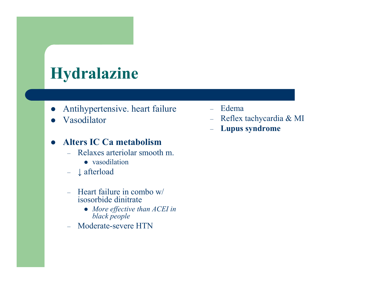## Hydralazine

- $\bullet$ Antihypertensive. heart failure
- $\bullet$ Vasodilator

#### $\bullet$ Alters IC Ca metabolism

- $-$  Delayes alierunal suur Relaxes arteriolar smooth m.
	- vasodilation
- <sup>↓</sup> afterload
- $\equiv$  Heart failure in combo w/ isosorbide dinitrate
	- $\bullet$  More effective than ACEI in black people
- Moderate-severe HTN  $\equiv$
- 
- t failure Edema<br>
 Reflex tachycardia & MI<br>
 **Lupus syndrome**<br> **ism**<br>
nooth m.<br> **booth m.**<br> **h** *ACEI in*<br>
N
	-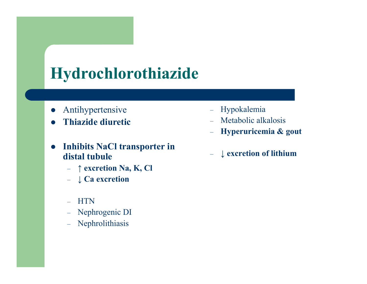## Hydrochlorothiazide

- $\bullet$ Antihypertensive
- $\bullet$ Thiazide diuretic
- $\bullet$  Inhibits NaCl transporter in distal tubule
	- $\rightarrow$  ↑ excretion Na, K, Cl
	- $\downarrow$  Ca excretion
	- $\equiv$ **HTN**
	- Nephrogenic DI  $\leftarrow$
	- –Nephrolithiasis
- $\equiv$ Hypokalemia
- Metabolic alkalosis
- $\equiv$ Hyperuricemia & gout
- <sup>↓</sup> excretion of lithium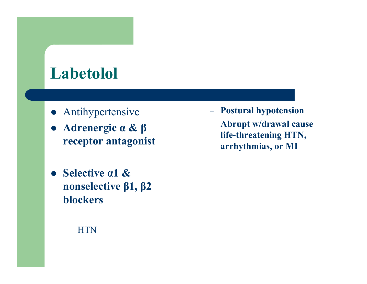### Labetolol

- Antihypertensive
- Adrenergic α & β receptor antagonist
- $\bullet$  Selective α1 & nonselective β1, β2 blockers
	- –**HTN**
- 
- vpertensive Postural hypotension<br>
lergic  $\alpha \& \beta$  Abrupt w/drawal cause<br>
life-threatening HTN,<br>
arrhythmias, or MI<br>
ive  $\alpha$ 1 &<br>
lective  $\beta$ 1,  $\beta$ 2<br>
ers<br>
N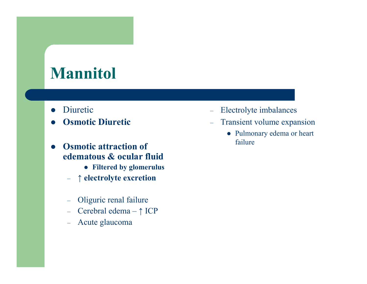## Mannitol

- $\bullet$ Diuretic
- $\bullet$ Osmotic Diuretic
- $\bullet$  Osmotic attraction of edematous & ocular fluid
	- Filtered by glomerulus
	- $\uparrow$  electrolyte excretion
	- –Oliguric renal failure
	- –Cerebral edema – <sup>↑</sup> ICP
	- $\leftarrow$ Acute glaucoma
- 
- 
- Electrolyte imbalances Transient volume expansion Pulmonary edema or heart failure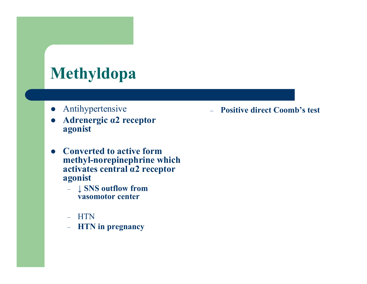## Methyldopa

- $\bullet$ Antihypertensive
- $\bullet$  Adrenergic α2 receptor agonist
- $\bullet$  Converted to active form methyl-norepinephrine which activates central α2 receptor agonist– Positive direct Coomb's test<br>ptor<br>form<br>rine which<br>receptor<br>m
	- $\downarrow$  SNS outflow from<br>vasomotor center vasomotor center
	- –HTN
	- **HTN** in pregnancy  $\equiv$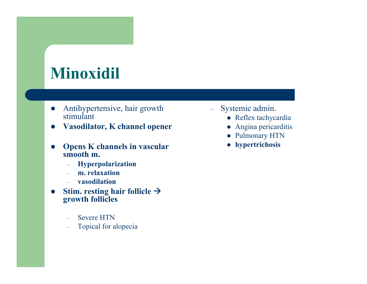## Minoxidil

- $\bullet$  Antihypertensive, hair growth stimulant
- $\bullet$ Vasodilator, K channel opener
- $\bullet$  Opens K channels in vascular smooth m.r growth - Systemic admin.<br>
• Reflex tachycardia<br>
• Angina pericarditis<br>
• Pulmonary HTN<br>
• hypertrichosis<br>
1<br>
Hicle  $\rightarrow$ 
	- Hyperpolarization –
	- –m. relaxation
	- vasodilation
- Stim. resting hair follicle  $\rightarrow$  $\bullet$ growth follicles
	- –Severe HTN
	- Topical for alopecia–
- -
	-
	-
	-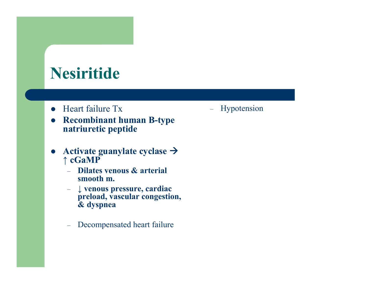## Nesiritide

- Heart failure Tx
- $\bullet$  Recombinant human B-type natriuretic peptide
- $\bullet$ Activate guanylate cyclase  $\rightarrow$ <sup>↑</sup> cGaMP
	- Dilates venous & arterial smooth m.
- − ↓ venous pressure, cardiac<br>Dreload vascular congestio preload, vascular congestion, & dyspneaFeart failure Tx and alleged and the Hypotension<br>
Recombinant human B-type<br>
atriuretic peptide<br>
<br>
activate guanylate cyclase →<br>
cGaMP<br>
- Dilates venous & arterial<br>
smooth m.<br>
- ↓ venous pressure, cardiac<br>
preload, vascula
	- –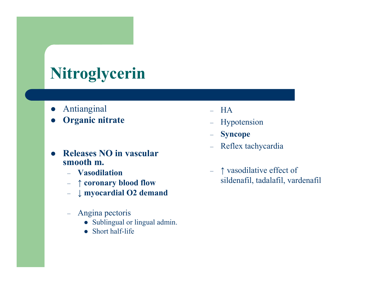# Nitroglycerin

- $\bullet$ Antianginal
- $\bullet$ Organic nitrate
- $\bullet$  Releases NO in vascular smooth m.
	- Vasodilation
	- $\uparrow$  coronary <sup>↑</sup> coronary blood flow
	- $− ∥$  myocardial O2 demand
	- – Angina pectoris
		- Sublingual or lingual admin.
		- Short half-life
- 
- 
- 
- 
- Short half-life HA<br>
nic nitrate Hypotension<br>
 Syncope<br>
ses NO in vascular<br>
th m.<br>
asodilation<br>
coronary blood flow<br>
myocardial O2 demand<br>
ngina pectoris<br>
 Shothalf-life<br>
 Short half-life Short half-life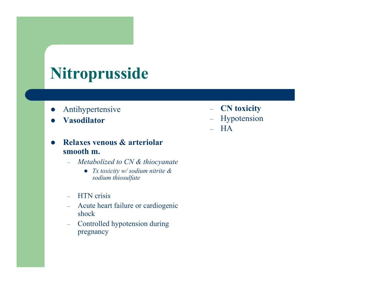## Nitroprusside

- $\bullet$ Antihypertensive
- $\bullet$ Vasodilator
- $\bullet$  Relaxes venous & arteriolar smooth m.
	- $\equiv$ Metabolized to CN & thiocyanate
		- Tx toxicity  $w$  sodium nitrite  $\&$ sodium thiosulfate
	- $\equiv$ HTN crisis
- – Acute heart failure or cardiogenicshocknsive - **CN toxicity**<br>
- Hypotension<br>
- HA<br> **ous & arteriolar**<br>
zed to CN & thiocyanate<br>
xicity w/sodium nitrite &<br>
um thiosulfate<br>
is<br>
sis<br>
art failure or cardiogenic<br>
de hypotension during<br>
y
	- Controlled hypotension during –pregnancy
- 
- 
-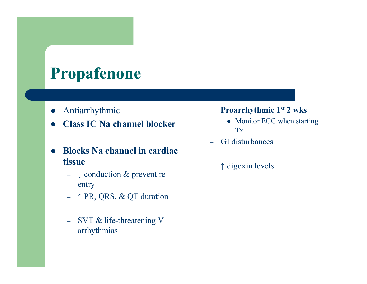## Propafenone

- $\bullet$ Antiarrhythmic
- $\bullet$ Class IC Na channel blocker
- $\bullet$  Blocks Na channel in cardiac tissue
	- $\vdash$  ↓ conduction & prevent reentry
	- $\uparrow$  PR, QRS, & QT duration
	- $\rightarrow$  SVT & life-threatening V arrhythmias
- 
- ic  **Proarrhythmic 1st 2 wks**<br>  **Monitor ECG when starting**<br>  **GI disturbances**<br> **annel in cardiac**<br>
 ↑ digoxin levels<br>
on & prevent re-<br>
, & QT duration<br>
--threatening V<br>
s
	-
	-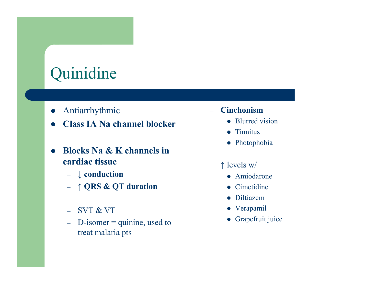## Quinidine

- $\bullet$ Antiarrhythmic
- $\bullet$ Class IA Na channel blocker
- $\bullet$  Blocks Na & K channels in cardiac tissue– Cinchonism<br>
• Blurred vision<br>
• Tinnitus<br>
• Photophobia<br>
• Photophobia<br>
• Amiodarone<br>
• Cimetidine<br>
• Diltiazem<br>
• Verapamil<br>
• Grapefruit juice<br>
s
	- $\downarrow$  conduction
	- $\uparrow$  QRS & QT duration
	- SVT & VT
	- $-D$ -isomer = quinine, used to  $\equiv$ treat malaria pts
- -
	-
	-
- -
	-
	-
	-
	-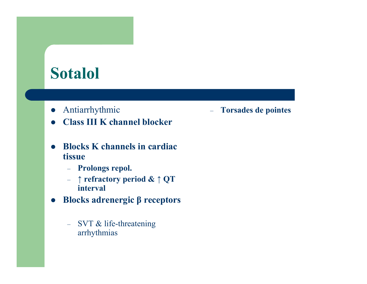#### Sotalol

- $\bullet$ Antiarrhythmic
- $\bullet$ Class III K channel blocker
- $\bullet$  Blocks K channels in cardiac tissueic annual blocker<br>
annual blocker<br>
nnels in cardiac<br>
repol.<br>
ry period & ↑ QT<br>
ergic β receptors<br>
ergic freceptors<br>
ergic freceptors<br>
extending
	- Prolongs repol.
	- $\begin{array}{c}\n\text{-} \quad \uparrow$  refractory period &  $\uparrow$  QT interval interval
- $\bullet$  Blocks adrenergic β receptors
	- SVT & life-threatening arrhythmias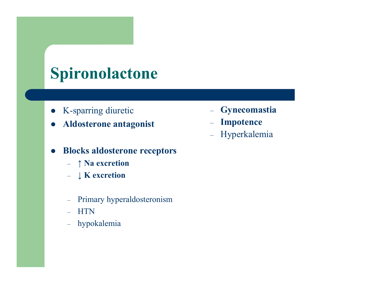## Spironolactone

- $\bullet$ K-sparring diuretic
- $\bullet$ Aldosterone antagonist
- $\bullet$  Blocks aldosterone receptors
	- $\uparrow$  Na excretion
	- $\downarrow K$  excretion
	- $\leftarrow$ Primary hyperaldosteronism
	- HTN
	- hypokalemia
- 
- 
- retic Gynecomastia<br>
intagonist Impotence<br>
 Hyperkalemia<br>
erone receptors<br>
ion<br>
on<br>
beraldosteronism<br>
a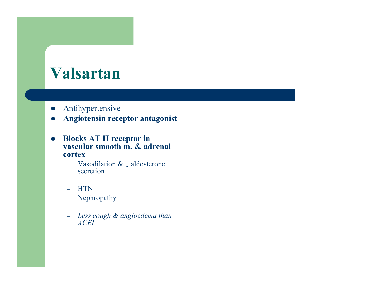#### Valsartan

- $\bullet$ Antihypertensive
- $\bullet$ Angiotensin receptor antagonist
- $\bullet$  Blocks AT II receptor in vascular smooth m. & adrenal cortex
	- Vasodilation  $& ∏$  aldosterone secretion
	- HTN
	- Nephropathy –
	- Less cough & angioedema than ACEI